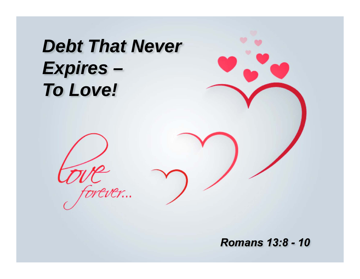*Debt That Never Expires – To Love!*

ever...

*Romans 13:8 - 10*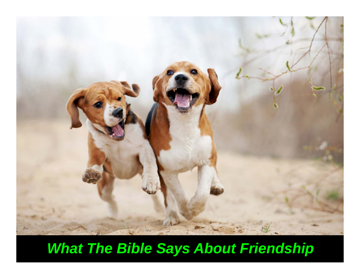

## *What The Bible Says About Friendship*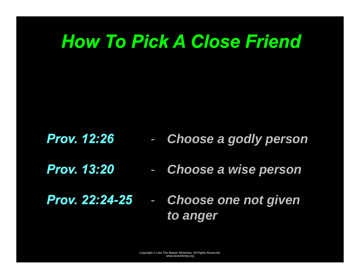## *How To Pick A Close Friend*

*Prov. 12:26*  -*Choose a godly person* 

- *Prov. 13:20*  -*Choose a wise person*
- *Prov. 22:24-25* - *Choose one not given to anger*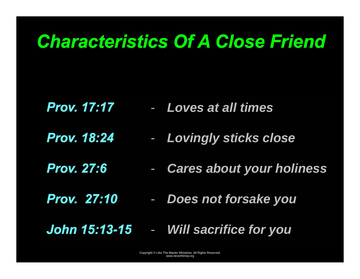## *Characteristics Of A Close Friend*

- *Prov. 17:17 Loves at all times*
- *Prov. 18:24*  -*Lovingly sticks close*
- *Prov. 27:6*  -*Cares about your holiness*
- *Prov. 27:10*  -*Does not forsake you*
- *John 15:13-15* -*Will sacrifice for you*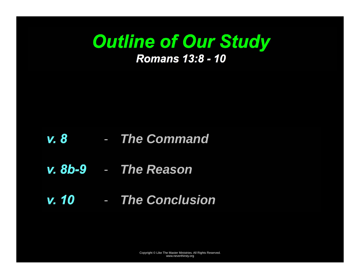## *Outline of Our Study Romans 13:8 - 10*

#### *v. 8*  - *The Command*

- *v. 8b-9 The Reason*
- *v. 10 The Conclusion*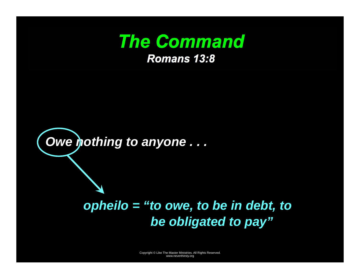



### *opheilo = "to owe, to be in debt, to be obligated to pay"*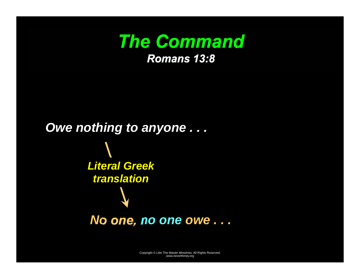

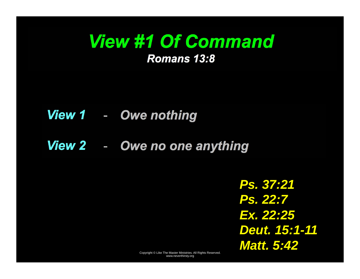### *View #1 Of Command Romans 13:8*

#### *View 1*  -*Owe nothing*

#### *View 2*  -*Owe no one anything*

*Ps. 37:21 Ps. 22:7 Ex. 22:25 Deut. 15:1-11 Matt. 5:42*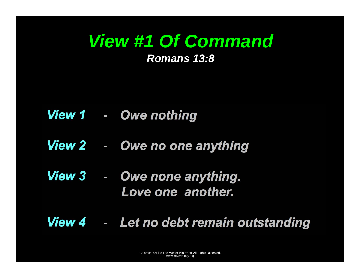## *View #1 Of Command*

#### *Romans 13:8*

- *View 1*  -*Owe nothing*
- *View 2*  -*Owe no one anything*
- *View 3*  - *Owe none anything. Love one another.*
- *View 4* -*Let no debt remain outstanding*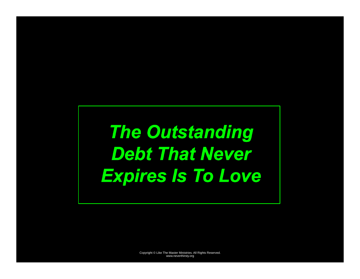# *The Outstanding*  **Debt That Never** *Expires Is To Love*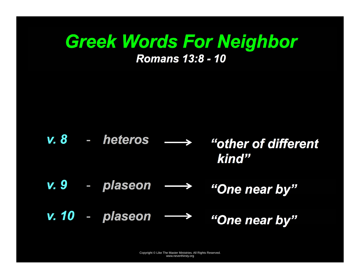## *Greek Words For Neighbor Romans 13:8 - 10*

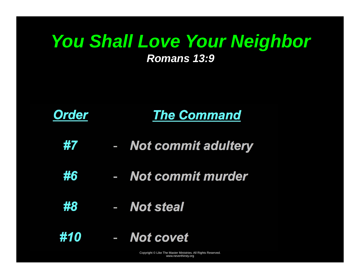# *You Shall Love Your Neighbor*

#### *Romans 13:9*



- *#7*  -*Not commit adultery*
- *#6*  - *Not commit murder*
- *#8*  - *Not steal*
- *#10* - *Not covet*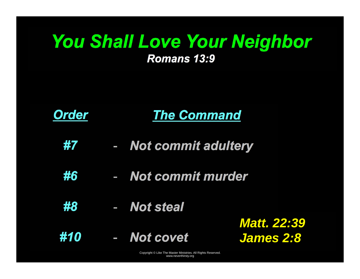### *You Shall Love Your Neighbor Romans 13:9*



- *#7*  -*Not commit adultery*
- *#6*  - *Not commit murder*
- *#8*  - *Not steal*

*#10* - *Not covet* 

*Matt. 22:39 James 2:8*